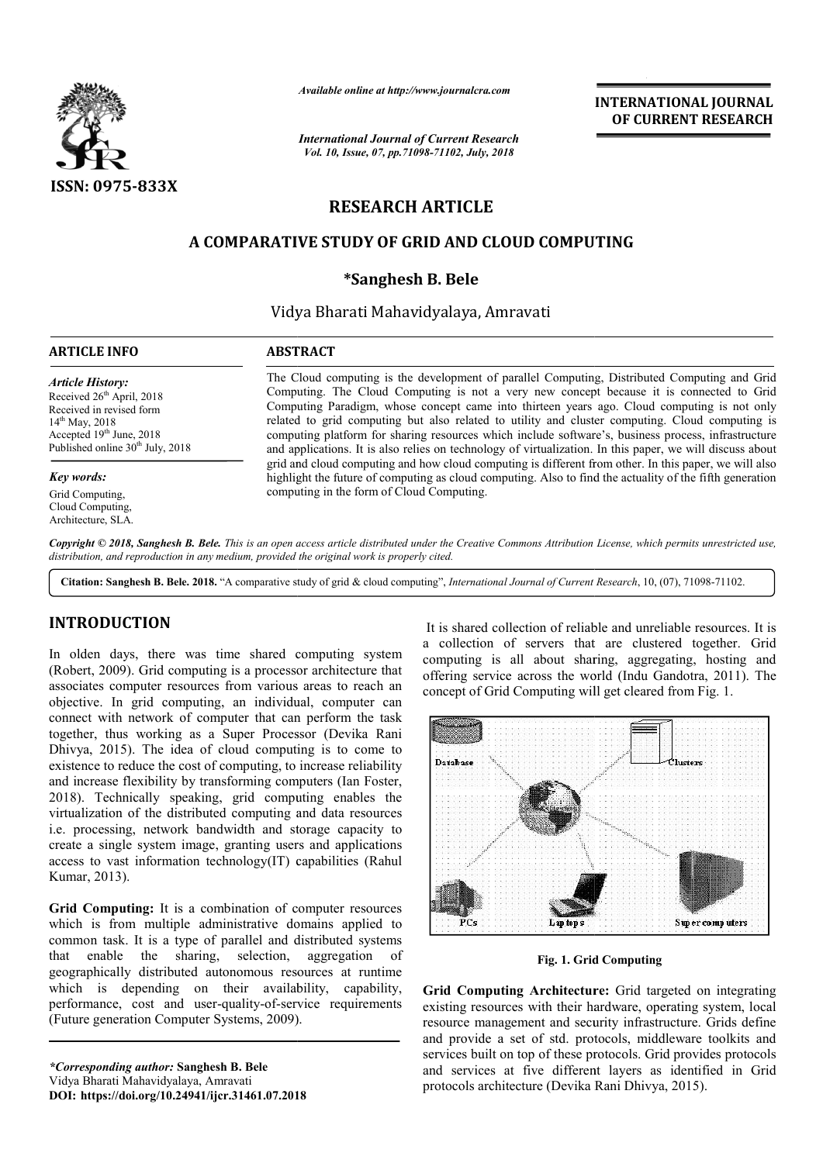

*Available online at http://www.journalcra.com*

*International Journal of Current Research Vol. 10, Issue, 07, pp.71098-71102, July, 2018*

**INTERNATIONAL JOURNAL OF CURRENT RESEARCH**

# **RESEARCH ARTICLE**

# **A COMPARATIVE STUDY OF GRID AND CLOUD COMPUTING**

# **\*Sanghesh B. Bele**

Vidya Bharati Mahavidyalaya, Amravati

#### **ARTICLE INFO ABSTRACT**

*Article History:* Received 26<sup>th</sup> April, 2018 Received in revised form 14<sup>th</sup> May, 2018 Accepted 19th June, 2018 Published online  $30<sup>th</sup>$  July, 2018

*Key words:*

Grid Computing, Cloud Computing, Architecture, SLA. The Cloud computing is the development of parallel Computing, Distributed Computing and Grid Computing. The Cloud Computing is not a very new concept because it is connected to Grid Computing. The Cloud Computing is not a very new concept because it is connected to Grid Computing Paradigm, whose concept came into thirteen years ago. Cloud computing is not only related to grid computing but also related to utility and cluster computing. Cloud computing is computing platform for sharing resources which include software's, business process, infrastructure computing platform for sharing resources which include software's, business process, infrastructure and applications. It is also relies on technology of virtualization. In this paper, we will discuss about grid and cloud computing and how cloud computing is different from other. In this paper, we will also grid and cloud computing and how cloud computing is different from other. In this paper, we will also<br>highlight the future of computing as cloud computing. Also to find the actuality of the fifth generation computing in the form of Cloud Computing.

Copyright © 2018, Sanghesh B. Bele. This is an open access article distributed under the Creative Commons Attribution License, which permits unrestricted use, *distribution, and reproduction in any medium, provided the original work is properly cited.*

Citation: Sanghesh B. Bele. 2018. "A comparative study of grid & cloud computing", *International Journal of Current Research*, 10, (07), 71098-71102.

# **INTRODUCTION**

In olden days, there was time shared computing system (Robert, 2009). Grid computing is a processor architecture that associates computer resources from various areas to reach an objective. In grid computing, an individual, computer can connect with network of computer that can perform the task (Robert, 2009). Grid computing is a processor architecture that associates computer resources from various areas to reach an objective. In grid computing, an individual, computer can connect with network of computer that c Dhivya, 2015). The idea of cloud computing is to come to existence to reduce the cost of computing, to increase reliability and increase flexibility by transforming computers (Ian Foster, 2018). Technically speaking, grid computing enables the . virtualization of the distributed computing and data resources i.e. processing, network bandwidth and storage capacity to create a single system image, granting users and applications access to vast information technology(IT) capabilities (Rahul Kumar, 2013).

**Grid Computing:** It is a combination of computer resources which is from multiple administrative domains applied to common task. It is a type of parallel and distributed systems that enable the sharing, selection, aggregation of geographically distributed autonomous resources at runtime which is depending on their availability, capability, performance, cost and user-quality-of-service requirements (Future generation Computer Systems, 2009). (Future generation Computer Systems, 2009).

*\*Corresponding author:* **Sanghesh B. Bele** Vidya Bharati Mahavidyalaya, Amravati **DOI: https://doi.org/10.24941/ijcr.31461.07.2018** a collection of servers that are clustered together. Grid a collection of servers that are clustered together. Grid computing is all about sharing, aggregating, hosting and offering service across the world (Indu Gandotra, 2011). The concept of Grid Computing will get cleared from Fig. 1. It is shared collection of reliable and unreliable resources. It is



**Fig. 1. Grid Computing**

Fig. 1. Grid Computing<br> **Grid Computing Architecture:** Grid targeted on integrating existing resources with their hardware, operating system, local resource management and security infrastructure. Grids define and provide a set of std. protocols, middleware toolkits and services built on top of these protocols. Grid provides protocols and services at five different layers as identified in Grid protocols architecture (Devika Rani Dhivya with their hardware, operating system, local<br>ent and security infrastructure. Grids define<br>of std. protocols, middleware toolkits and on top of these protocols. Grid provides protocols<br>at five different layers as identified in Grid<br>itecture (Devika Rani Dhivya, 2015).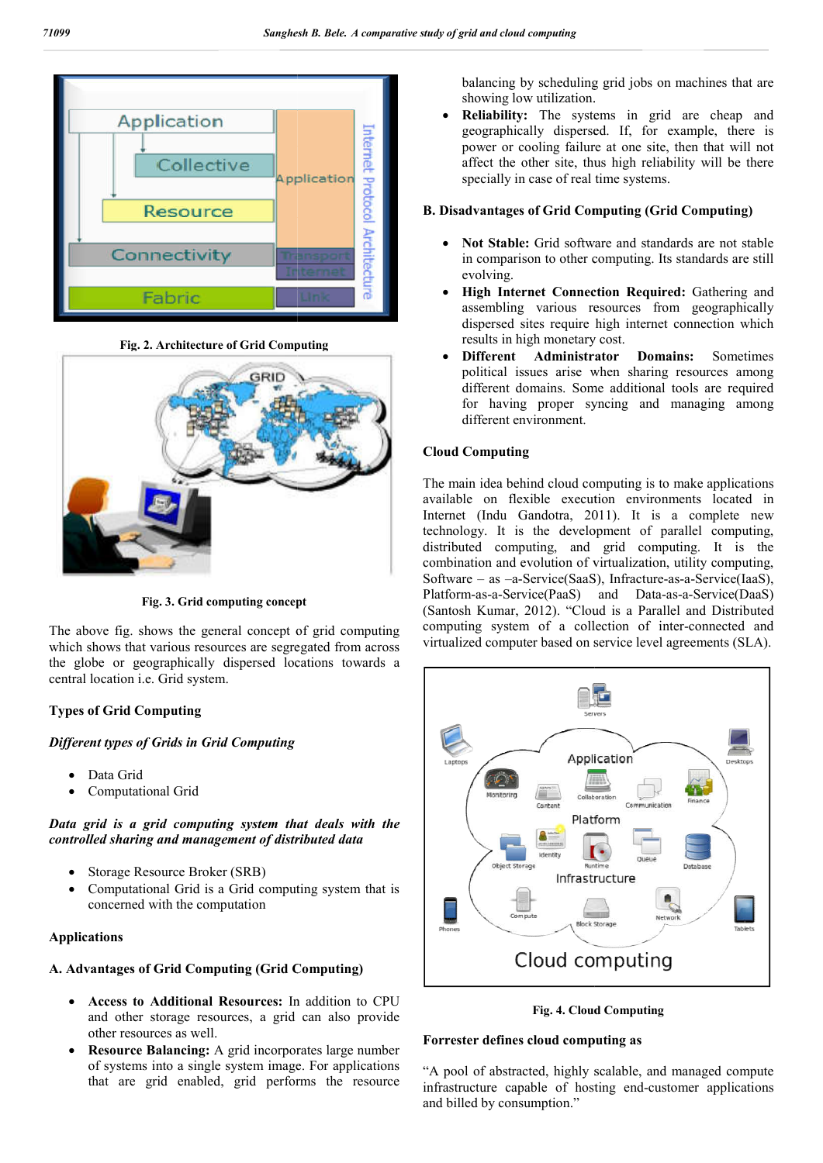

**Fig. 2. Architecture of Grid Computing**



**Fig. 3. Grid computing concept**

The above fig. shows the general concept of grid computing which shows that various resources are segregated from across the globe or geographically dispersed locations towards a central location i.e. Grid system.

# **Types of Grid Computing**

# *Different types of Grids in Grid Computing*

- Data Grid
- Computational Grid

*Data grid is a grid computing system that deals with the controlled sharing and management of distributed data*

- Storage Resource Broker (SRB)
- Computational Grid is a Grid computing system that is concerned with the computation

#### **Applications**

#### **A. Advantages of Grid Computing (Grid Computing Grid Computing)**

- **Access to Additional Resources:** In addition to CPU and other storage resources, a grid can also provide other resources as well.
- **Resource Balancing:** A grid incorporates large number of systems into a single system image. For applications that are grid enabled, grid performs the resource

balancing by scheduling grid jobs on machines that are showing low utilization.

 **Reliability:** The systems in grid are cheap and geographically dispersed. If, for example, there is power or cooling failure at one site, then that will not affect the other site, thus high reliability will be there specially in case of real time systems. in grid are cheap dispersed. If, for example, the g failure at one site, then that wi site, thus high reliability will be

## **B. Disadvantages of Grid Computing (Grid Computing)**

- **Not Stable:** Grid software and standards are not stable Not Stable: Grid software and standards are not stable in comparison to other computing. Its standards are still evolving.
- **High Internet Connection Required Internet Connection Required:** Gathering and assembling various resources from geographically dispersed sites require high internet connection which results in high monetary cost. g various resources from geographically<br>sites require high internet connection which<br>high monetary cost.
- **•** Different Administrator Domains: Sometimes political issues arise when sharing resources among different domains. Some additional tools are required for having proper syncing and managing among different environment. political issues arise when sharing resources among<br>different domains. Some additional tools are required<br>for having proper syncing and managing among<br>different environment.<br>Cloud Computing<br>The main idea behind cloud compu

# **Cloud Computing**

The main idea behind cloud computing is to make applications available on flexible execution environments located in Internet (Indu Gandotra, 2011). It is a complete new technology. It is the development of parallel computing, distributed computing, and grid computing. It is the combination and evolution of virtualization, utility computing, combination and evolution of virtualization, utility computing, Software – as –a-Service(SaaS), Infracture-as-a-Service(IaaS), Platform-as-a-Service(PaaS) and Data-as-a-Service(DaaS) (Santosh Kumar, 2012). "Cloud is a Parallel and Distributed computing system of a collection of inter-connected and virtualized computer based on service level agreements (SLA).



**Fig. 4. Cloud Computing**

#### **Forrester defines cloud computing as defines cloud**

"A pool of abstracted, highly scalable, and managed compute "A pool of abstracted, highly scalable, and managed compute infrastructure capable of hosting end-customer applications and billed by consumption."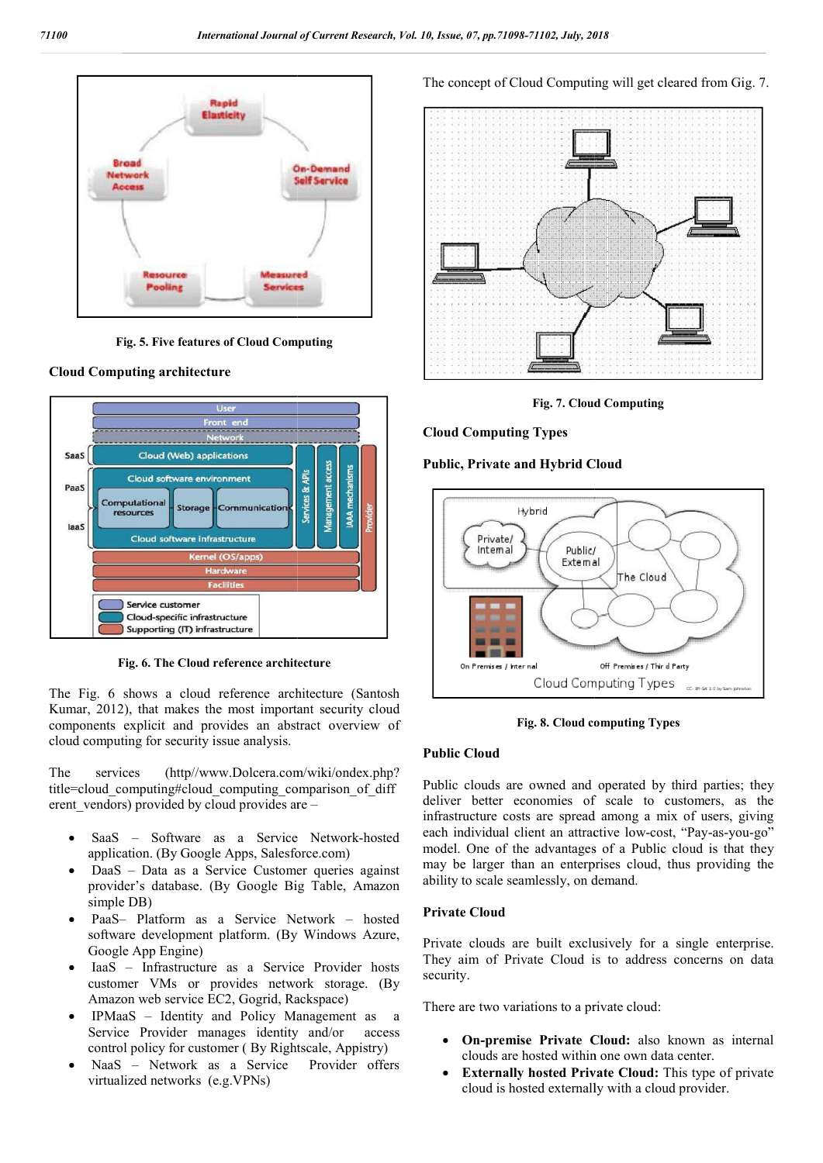

**Fig. 5. Five features of Cloud Computing**





**Fig. 6. The Cloud reference architecture**

The Fig. 6 shows a cloud reference architecture (Santosh Kumar, 2012), that makes the most important security cloud components explicit and provides an abstract overview of cloud computing for security issue analysis.

The services (http//www.Dolcera.com/wiki/ondex.php? The services (http//www.Dolcera.com/wiki/ondex.php?<br>title=cloud\_computing#cloud\_computing\_comparison\_of\_diff erent\_vendors) provided by cloud provides are –

- SaaS Software as a Service Network-hosted application. (By Google Apps, Salesforce.com)
- DaaS Data as a Service Customer queries against provider's database. (By Google Big Table, Amazon simple DB)
- PaaS– Platform as a Service Network hosted software development platform. (By Windows Azure, Google App Engine)
- IaaS Infrastructure as a Service Provider hosts customer VMs or provides network storage. (By Amazon web service EC2, Gogrid, Rackspace)
- IPMaaS Identity and Policy Management as a Service Provider manages identity and/or access control policy for customer ( By Rightscale, Appistry)
- NaaS Network as a Service Provider offers virtualized networks (e.g.VPNs)

The concept of Cloud Computing will get cleared from Gig. 7.



**Fig. 7. Cloud Computing**

#### **Cloud Computing Types**

**Public, Private and Hybrid Cloud Hybrid** 



**Fig. 8. Cloud computing Types**

#### **Public Cloud**

Public clouds are owned and operated by third parties; they deliver better economies of scale to customers, as the infrastructure costs are spread among a mix of users, giving each individual client an attractive low-cost, "Pay-as-you-go" model. One of the advantages of a Public cloud is that they may be larger than an enterprises cloud, thus providing the ability to scale seamlessly, on demand. clouds are owned and operated by third parties; they<br>better economies of scale to customers, as the<br>ucture costs are spread among a mix of users, giving<br>dividual client an attractive low-cost, "Pay-as-you-go" The solution of the advantages of a Public cloud is that<br>the larger than an enterprises cloud, thus providing<br>to scale seamlessly, on demand.<br>te Cloud<br>e clouds are built exclusively for a single enterp<br>aim of Private Cloud

#### **Private Cloud**

Private clouds are built exclusively for a single enterprise. They aim of Private Cloud is to address concerns on data security.

There are two variations to a private cloud:

- On-premise Private Cloud: also known as internal clouds are hosted within one own data center.
- **Externally hosted Private Cloud:** This type of private cloud is hosted externally with a cloud provider.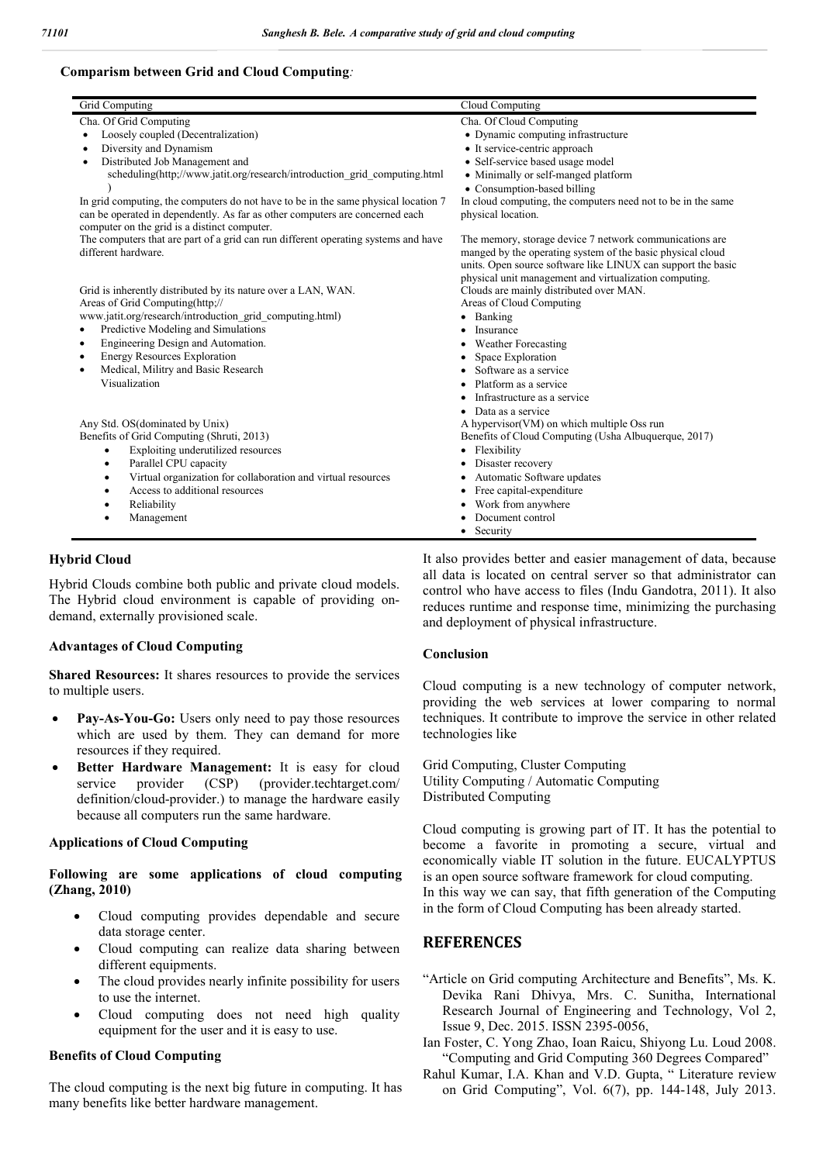#### **Comparism between Grid and Cloud Computing***:*

| Grid Computing                                                                                                               | Cloud Computing                                                                                                                                                                                                                                 |
|------------------------------------------------------------------------------------------------------------------------------|-------------------------------------------------------------------------------------------------------------------------------------------------------------------------------------------------------------------------------------------------|
| Cha. Of Grid Computing                                                                                                       | Cha. Of Cloud Computing                                                                                                                                                                                                                         |
| Loosely coupled (Decentralization)                                                                                           | • Dynamic computing infrastructure                                                                                                                                                                                                              |
| Diversity and Dynamism                                                                                                       | • It service-centric approach                                                                                                                                                                                                                   |
| Distributed Job Management and<br>$\bullet$                                                                                  | • Self-service based usage model                                                                                                                                                                                                                |
| scheduling(http://www.jatit.org/research/introduction grid computing.html                                                    | • Minimally or self-manged platform                                                                                                                                                                                                             |
|                                                                                                                              | • Consumption-based billing                                                                                                                                                                                                                     |
| In grid computing, the computers do not have to be in the same physical location 7                                           | In cloud computing, the computers need not to be in the same                                                                                                                                                                                    |
| can be operated in dependently. As far as other computers are concerned each<br>computer on the grid is a distinct computer. | physical location.                                                                                                                                                                                                                              |
| The computers that are part of a grid can run different operating systems and have<br>different hardware.                    | The memory, storage device 7 network communications are<br>manged by the operating system of the basic physical cloud<br>units. Open source software like LINUX can support the basic<br>physical unit management and virtualization computing. |
| Grid is inherently distributed by its nature over a LAN, WAN.                                                                | Clouds are mainly distributed over MAN.                                                                                                                                                                                                         |
| Areas of Grid Computing(http://                                                                                              | Areas of Cloud Computing                                                                                                                                                                                                                        |
| www.jatit.org/research/introduction grid computing.html)                                                                     | Banking<br>$\bullet$                                                                                                                                                                                                                            |
| Predictive Modeling and Simulations<br>$\bullet$                                                                             | Insurance                                                                                                                                                                                                                                       |
| Engineering Design and Automation.<br>$\bullet$                                                                              | <b>Weather Forecasting</b>                                                                                                                                                                                                                      |
| <b>Energy Resources Exploration</b><br>$\bullet$                                                                             | Space Exploration                                                                                                                                                                                                                               |
| Medical, Militry and Basic Research                                                                                          | Software as a service                                                                                                                                                                                                                           |
| Visualization                                                                                                                | Platform as a service                                                                                                                                                                                                                           |
|                                                                                                                              | Infrastructure as a service                                                                                                                                                                                                                     |
|                                                                                                                              | Data as a service                                                                                                                                                                                                                               |
| Any Std. OS(dominated by Unix)                                                                                               | A hypervisor (VM) on which multiple Oss run                                                                                                                                                                                                     |
| Benefits of Grid Computing (Shruti, 2013)                                                                                    | Benefits of Cloud Computing (Usha Albuquerque, 2017)                                                                                                                                                                                            |
| Exploiting underutilized resources<br>$\bullet$                                                                              | Flexibility                                                                                                                                                                                                                                     |
| Parallel CPU capacity<br>$\bullet$                                                                                           | Disaster recovery                                                                                                                                                                                                                               |
| Virtual organization for collaboration and virtual resources<br>$\bullet$                                                    | Automatic Software updates                                                                                                                                                                                                                      |
| Access to additional resources<br>٠                                                                                          | Free capital-expenditure                                                                                                                                                                                                                        |
| Reliability<br>٠                                                                                                             | Work from anywhere                                                                                                                                                                                                                              |
| Management                                                                                                                   | Document control                                                                                                                                                                                                                                |
|                                                                                                                              | Security                                                                                                                                                                                                                                        |

#### **Hybrid Cloud**

Hybrid Clouds combine both public and private cloud models. The Hybrid cloud environment is capable of providing ondemand, externally provisioned scale.

#### **Advantages of Cloud Computing**

**Shared Resources:** It shares resources to provide the services to multiple users.

- **Pay-As-You-Go:** Users only need to pay those resources which are used by them. They can demand for more resources if they required.
- **Better Hardware Management:** It is easy for cloud service provider (CSP) (provider.techtarget.com/ definition/cloud-provider.) to manage the hardware easily because all computers run the same hardware.

#### **Applications of Cloud Computing**

**Following are some applications of cloud computing (Zhang, 2010)**

- Cloud computing provides dependable and secure data storage center.
- Cloud computing can realize data sharing between different equipments.
- The cloud provides nearly infinite possibility for users to use the internet.
- Cloud computing does not need high quality equipment for the user and it is easy to use.

### **Benefits of Cloud Computing**

The cloud computing is the next big future in computing. It has many benefits like better hardware management.

It also provides better and easier management of data, because all data is located on central server so that administrator can control who have access to files (Indu Gandotra, 2011). It also reduces runtime and response time, minimizing the purchasing and deployment of physical infrastructure.

#### **Conclusion**

Cloud computing is a new technology of computer network, providing the web services at lower comparing to normal techniques. It contribute to improve the service in other related technologies like

Grid Computing, Cluster Computing Utility Computing / Automatic Computing Distributed Computing

Cloud computing is growing part of IT. It has the potential to become a favorite in promoting a secure, virtual and economically viable IT solution in the future. EUCALYPTUS is an open source software framework for cloud computing. In this way we can say, that fifth generation of the Computing in the form of Cloud Computing has been already started.

# **REFERENCES**

- "Article on Grid computing Architecture and Benefits", Ms. K. Devika Rani Dhivya, Mrs. C. Sunitha, International Research Journal of Engineering and Technology, Vol 2, Issue 9, Dec. 2015. ISSN 2395-0056,
- Ian Foster, C. Yong Zhao, Ioan Raicu, Shiyong Lu. Loud 2008. "Computing and Grid Computing 360 Degrees Compared"
- Rahul Kumar, I.A. Khan and V.D. Gupta, " Literature review on Grid Computing", Vol. 6(7), pp. 144-148, July 2013.